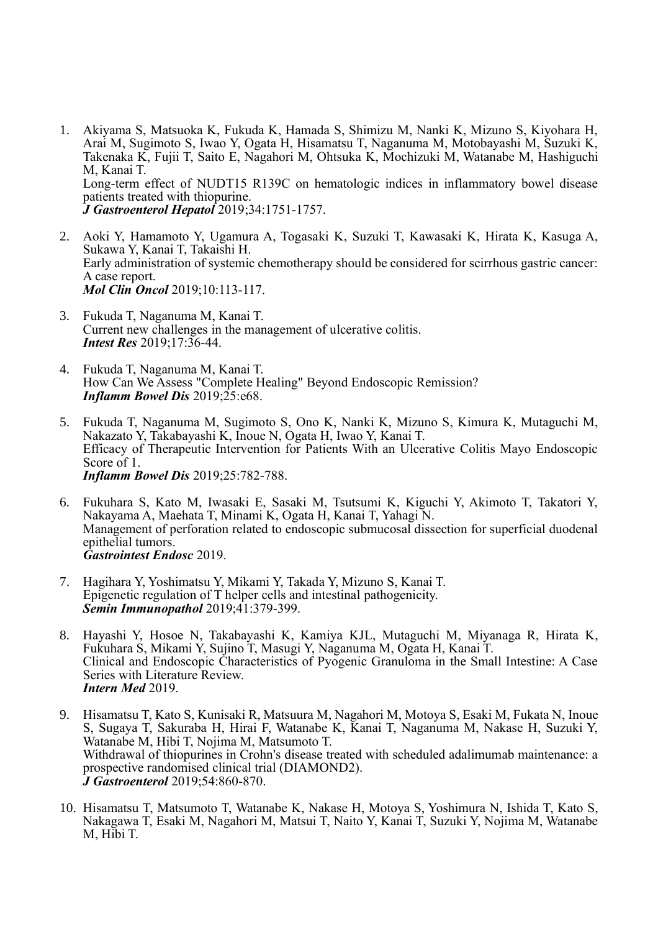- 1. Akiyama S, Matsuoka K, Fukuda K, Hamada S, Shimizu M, Nanki K, Mizuno S, Kiyohara H, Arai M, Sugimoto S, Iwao Y, Ogata H, Hisamatsu T, Naganuma M, Motobayashi M, Suzuki K, Takenaka K, Fujii T, Saito E, Nagahori M, Ohtsuka K, Mochizuki M, Watanabe M, Hashiguchi M, Kanai T. Long-term effect of NUDT15 R139C on hematologic indices in inflammatory bowel disease patients treated with thiopurine. *J Gastroenterol Hepatol* 2019;34:1751-1757.
- 2. Aoki Y, Hamamoto Y, Ugamura A, Togasaki K, Suzuki T, Kawasaki K, Hirata K, Kasuga A, Sukawa Y, Kanai T, Takaishi H. Early administration of systemic chemotherapy should be considered for scirrhous gastric cancer: A case report. *Mol Clin Oncol* 2019;10:113-117.
- 3. Fukuda T, Naganuma M, Kanai T. Current new challenges in the management of ulcerative colitis. *Intest Res* 2019;17:36-44.
- 4. Fukuda T, Naganuma M, Kanai T. How Can We Assess "Complete Healing" Beyond Endoscopic Remission? *Inflamm Bowel Dis* 2019;25:e68.
- 5. Fukuda T, Naganuma M, Sugimoto S, Ono K, Nanki K, Mizuno S, Kimura K, Mutaguchi M, Nakazato Y, Takabayashi K, Inoue N, Ogata H, Iwao Y, Kanai T. Efficacy of Therapeutic Intervention for Patients With an Ulcerative Colitis Mayo Endoscopic Score of 1. *Inflamm Bowel Dis* 2019;25:782-788.
- 6. Fukuhara S, Kato M, Iwasaki E, Sasaki M, Tsutsumi K, Kiguchi Y, Akimoto T, Takatori Y, Nakayama A, Maehata T, Minami K, Ogata H, Kanai T, Yahagi N. Management of perforation related to endoscopic submucosal dissection for superficial duodenal epithelial tumors. *Gastrointest Endosc* 2019.
- 7. Hagihara Y, Yoshimatsu Y, Mikami Y, Takada Y, Mizuno S, Kanai T. Epigenetic regulation of T helper cells and intestinal pathogenicity. *Semin Immunopathol* 2019;41:379-399.
- 8. Hayashi Y, Hosoe N, Takabayashi K, Kamiya KJL, Mutaguchi M, Miyanaga R, Hirata K, Fukuhara S, Mikami Y, Sujino T, Masugi Y, Naganuma M, Ogata H, Kanai T. Clinical and Endoscopic Characteristics of Pyogenic Granuloma in the Small Intestine: A Case Series with Literature Review. *Intern Med* 2019.
- 9. Hisamatsu T, Kato S, Kunisaki R, Matsuura M, Nagahori M, Motoya S, Esaki M, Fukata N, Inoue S, Sugaya T, Sakuraba H, Hirai F, Watanabe K, Kanai T, Naganuma M, Nakase H, Suzuki Y, Watanabe M, Hibi T, Nojima M, Matsumoto T. Withdrawal of thiopurines in Crohn's disease treated with scheduled adalimumab maintenance: a prospective randomised clinical trial (DIAMOND2). *J Gastroenterol* 2019;54:860-870.
- 10. Hisamatsu T, Matsumoto T, Watanabe K, Nakase H, Motoya S, Yoshimura N, Ishida T, Kato S, Nakagawa T, Esaki M, Nagahori M, Matsui T, Naito Y, Kanai T, Suzuki Y, Nojima M, Watanabe M, Hibi T.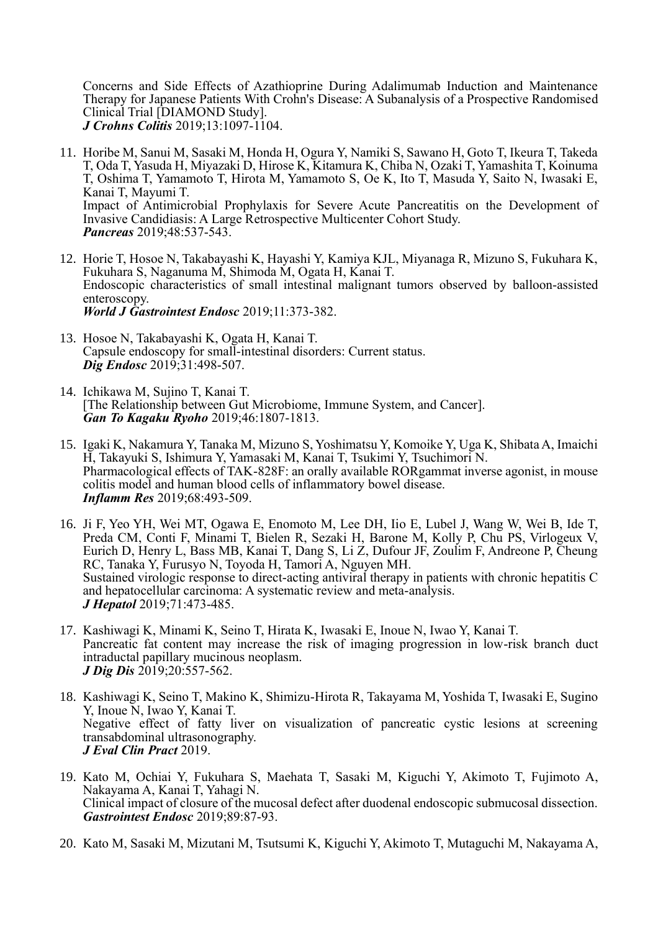Concerns and Side Effects of Azathioprine During Adalimumab Induction and Maintenance Therapy for Japanese Patients With Crohn's Disease: A Subanalysis of a Prospective Randomised Clinical Trial [DIAMOND Study]. *J Crohns Colitis* 2019;13:1097-1104.

- 11. Horibe M, Sanui M, Sasaki M, Honda H, Ogura Y, Namiki S, Sawano H, Goto T, Ikeura T, Takeda T, Oda T, Yasuda H, Miyazaki D, Hirose K, Kitamura K, Chiba N, Ozaki T, Yamashita T, Koinuma T, Oshima T, Yamamoto T, Hirota M, Yamamoto S, Oe K, Ito T, Masuda Y, Saito N, Iwasaki E, Kanai T, Mayumi T. Impact of Antimicrobial Prophylaxis for Severe Acute Pancreatitis on the Development of Invasive Candidiasis: A Large Retrospective Multicenter Cohort Study. *Pancreas* 2019;48:537-543.
- 12. Horie T, Hosoe N, Takabayashi K, Hayashi Y, Kamiya KJL, Miyanaga R, Mizuno S, Fukuhara K, Fukuhara S, Naganuma M, Shimoda M, Ogata H, Kanai T. Endoscopic characteristics of small intestinal malignant tumors observed by balloon-assisted enteroscopy. *World J Gastrointest Endosc* 2019;11:373-382.
- 13. Hosoe N, Takabayashi K, Ogata H, Kanai T. Capsule endoscopy for small-intestinal disorders: Current status. *Dig Endosc* 2019;31:498-507.
- 14. Ichikawa M, Sujino T, Kanai T. [The Relationship between Gut Microbiome, Immune System, and Cancer]. *Gan To Kagaku Ryoho* 2019;46:1807-1813.
- 15. Igaki K, Nakamura Y, Tanaka M, Mizuno S, Yoshimatsu Y, Komoike Y, Uga K, Shibata A, Imaichi H, Takayuki S, Ishimura Y, Yamasaki M, Kanai T, Tsukimi Y, Tsuchimori N. Pharmacological effects of TAK-828F: an orally available RORgammat inverse agonist, in mouse colitis model and human blood cells of inflammatory bowel disease. *Inflamm Res* 2019;68:493-509.
- 16. Ji F, Yeo YH, Wei MT, Ogawa E, Enomoto M, Lee DH, Iio E, Lubel J, Wang W, Wei B, Ide T, Preda CM, Conti F, Minami T, Bielen R, Sezaki H, Barone M, Kolly P, Chu PS, Virlogeux V, Eurich D, Henry L, Bass MB, Kanai T, Dang S, Li Z, Dufour JF, Zoulim F, Andreone P, Cheung RC, Tanaka Y, Furusyo N, Toyoda H, Tamori A, Nguyen MH. Sustained virologic response to direct-acting antiviral therapy in patients with chronic hepatitis C and hepatocellular carcinoma: A systematic review and meta-analysis. *J Hepatol* 2019;71:473-485.
- 17. Kashiwagi K, Minami K, Seino T, Hirata K, Iwasaki E, Inoue N, Iwao Y, Kanai T. Pancreatic fat content may increase the risk of imaging progression in low-risk branch duct intraductal papillary mucinous neoplasm. *J Dig Dis* 2019;20:557-562.
- 18. Kashiwagi K, Seino T, Makino K, Shimizu-Hirota R, Takayama M, Yoshida T, Iwasaki E, Sugino Y, Inoue N, Iwao Y, Kanai T. Negative effect of fatty liver on visualization of pancreatic cystic lesions at screening transabdominal ultrasonography. *J Eval Clin Pract* 2019.
- 19. Kato M, Ochiai Y, Fukuhara S, Maehata T, Sasaki M, Kiguchi Y, Akimoto T, Fujimoto A, Nakayama A, Kanai T, Yahagi N. Clinical impact of closure of the mucosal defect after duodenal endoscopic submucosal dissection. *Gastrointest Endosc* 2019;89:87-93.
- 20. Kato M, Sasaki M, Mizutani M, Tsutsumi K, Kiguchi Y, Akimoto T, Mutaguchi M, Nakayama A,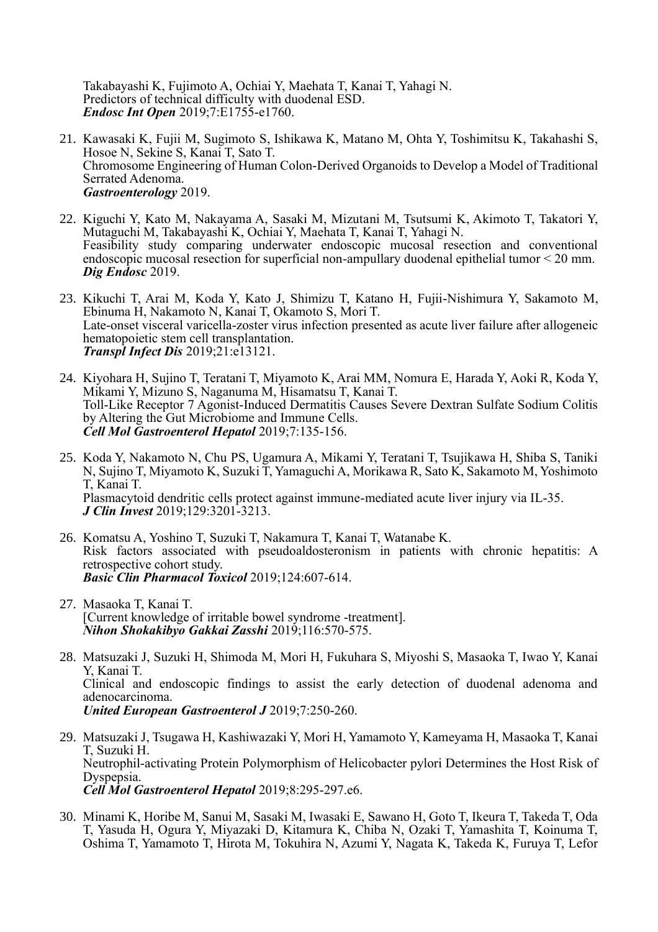Takabayashi K, Fujimoto A, Ochiai Y, Maehata T, Kanai T, Yahagi N. Predictors of technical difficulty with duodenal ESD. *Endosc Int Open* 2019;7:E1755-e1760.

- 21. Kawasaki K, Fujii M, Sugimoto S, Ishikawa K, Matano M, Ohta Y, Toshimitsu K, Takahashi S, Hosoe N, Sekine S, Kanai T, Sato T. Chromosome Engineering of Human Colon-Derived Organoids to Develop a Model of Traditional Serrated Adenoma. *Gastroenterology* 2019.
- 22. Kiguchi Y, Kato M, Nakayama A, Sasaki M, Mizutani M, Tsutsumi K, Akimoto T, Takatori Y, Mutaguchi M, Takabayashi K, Ochiai Y, Maehata T, Kanai T, Yahagi N. Feasibility study comparing underwater endoscopic mucosal resection and conventional endoscopic mucosal resection for superficial non-ampullary duodenal epithelial tumor < 20 mm. *Dig Endosc* 2019.
- 23. Kikuchi T, Arai M, Koda Y, Kato J, Shimizu T, Katano H, Fujii-Nishimura Y, Sakamoto M, Ebinuma H, Nakamoto N, Kanai T, Okamoto S, Mori T. Late-onset visceral varicella-zoster virus infection presented as acute liver failure after allogeneic hematopoietic stem cell transplantation. *Transpl Infect Dis* 2019;21:e13121.
- 24. Kiyohara H, Sujino T, Teratani T, Miyamoto K, Arai MM, Nomura E, Harada Y, Aoki R, Koda Y, Mikami Y, Mizuno S, Naganuma M, Hisamatsu T, Kanai T. Toll-Like Receptor 7 Agonist-Induced Dermatitis Causes Severe Dextran Sulfate Sodium Colitis by Altering the Gut Microbiome and Immune Cells. *Cell Mol Gastroenterol Hepatol* 2019;7:135-156.
- 25. Koda Y, Nakamoto N, Chu PS, Ugamura A, Mikami Y, Teratani T, Tsujikawa H, Shiba S, Taniki N, Sujino T, Miyamoto K, Suzuki T, Yamaguchi A, Morikawa R, Sato K, Sakamoto M, Yoshimoto T, Kanai T. Plasmacytoid dendritic cells protect against immune-mediated acute liver injury via IL-35. *J Clin Invest* 2019;129:3201-3213.
- 26. Komatsu A, Yoshino T, Suzuki T, Nakamura T, Kanai T, Watanabe K. Risk factors associated with pseudoaldosteronism in patients with chronic hepatitis: A retrospective cohort study. *Basic Clin Pharmacol Toxicol* 2019;124:607-614.
- 27. Masaoka T, Kanai T. [Current knowledge of irritable bowel syndrome -treatment]. *Nihon Shokakibyo Gakkai Zasshi* 2019;116:570-575.
- 28. Matsuzaki J, Suzuki H, Shimoda M, Mori H, Fukuhara S, Miyoshi S, Masaoka T, Iwao Y, Kanai Y, Kanai T. Clinical and endoscopic findings to assist the early detection of duodenal adenoma and adenocarcinoma. *United European Gastroenterol J* 2019;7:250-260.
- 29. Matsuzaki J, Tsugawa H, Kashiwazaki Y, Mori H, Yamamoto Y, Kameyama H, Masaoka T, Kanai T, Suzuki H. Neutrophil-activating Protein Polymorphism of Helicobacter pylori Determines the Host Risk of Dyspepsia. *Cell Mol Gastroenterol Hepatol* 2019;8:295-297.e6.
- 30. Minami K, Horibe M, Sanui M, Sasaki M, Iwasaki E, Sawano H, Goto T, Ikeura T, Takeda T, Oda T, Yasuda H, Ogura Y, Miyazaki D, Kitamura K, Chiba N, Ozaki T, Yamashita T, Koinuma T, Oshima T, Yamamoto T, Hirota M, Tokuhira N, Azumi Y, Nagata K, Takeda K, Furuya T, Lefor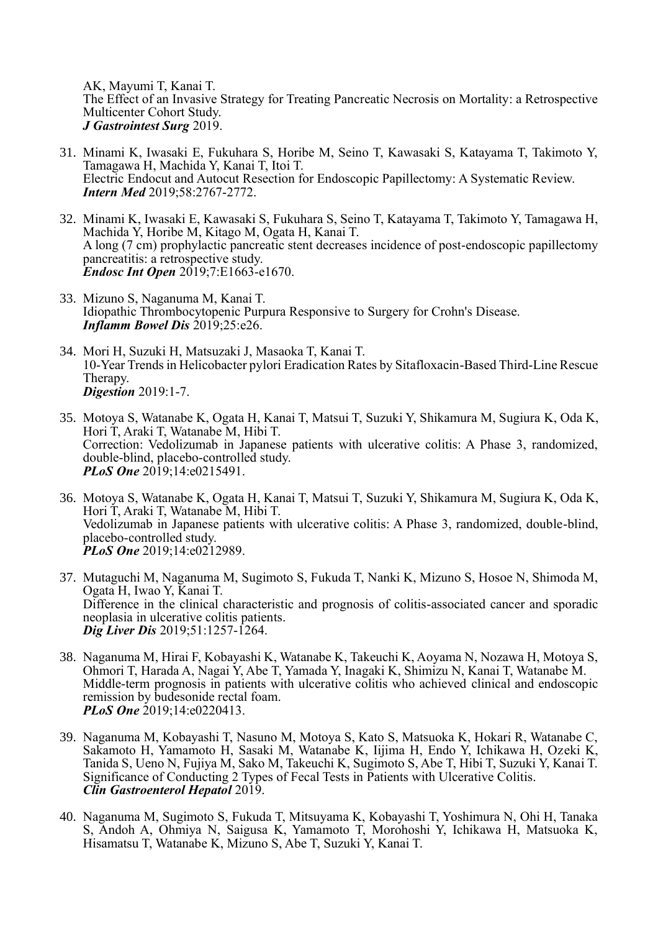AK, Mayumi T, Kanai T. The Effect of an Invasive Strategy for Treating Pancreatic Necrosis on Mortality: a Retrospective Multicenter Cohort Study. *J Gastrointest Surg* 2019.

- 31. Minami K, Iwasaki E, Fukuhara S, Horibe M, Seino T, Kawasaki S, Katayama T, Takimoto Y, Tamagawa H, Machida Y, Kanai T, Itoi T. Electric Endocut and Autocut Resection for Endoscopic Papillectomy: A Systematic Review. *Intern Med* 2019;58:2767-2772.
- 32. Minami K, Iwasaki E, Kawasaki S, Fukuhara S, Seino T, Katayama T, Takimoto Y, Tamagawa H, Machida Y, Horibe M, Kitago M, Ogata H, Kanai T. A long (7 cm) prophylactic pancreatic stent decreases incidence of post-endoscopic papillectomy pancreatitis: a retrospective study. *Endosc Int Open* 2019;7:E1663-e1670.
- 33. Mizuno S, Naganuma M, Kanai T. Idiopathic Thrombocytopenic Purpura Responsive to Surgery for Crohn's Disease. *Inflamm Bowel Dis* 2019;25:e26.
- 34. Mori H, Suzuki H, Matsuzaki J, Masaoka T, Kanai T. 10-Year Trends in Helicobacter pylori Eradication Rates by Sitafloxacin-Based Third-Line Rescue Therapy. *Digestion* 2019:1-7.
- 35. Motoya S, Watanabe K, Ogata H, Kanai T, Matsui T, Suzuki Y, Shikamura M, Sugiura K, Oda K, Hori T, Araki T, Watanabe M, Hibi T. Correction: Vedolizumab in Japanese patients with ulcerative colitis: A Phase 3, randomized, double-blind, placebo-controlled study. *PLoS One* 2019;14:e0215491.
- 36. Motoya S, Watanabe K, Ogata H, Kanai T, Matsui T, Suzuki Y, Shikamura M, Sugiura K, Oda K, Hori T, Araki T, Watanabe M, Hibi T. Vedolizumab in Japanese patients with ulcerative colitis: A Phase 3, randomized, double-blind, placebo-controlled study. *PLoS One* 2019;14:e0212989.
- 37. Mutaguchi M, Naganuma M, Sugimoto S, Fukuda T, Nanki K, Mizuno S, Hosoe N, Shimoda M, Ogata H, Iwao Y, Kanai T. Difference in the clinical characteristic and prognosis of colitis-associated cancer and sporadic neoplasia in ulcerative colitis patients. *Dig Liver Dis* 2019;51:1257-1264.
- 38. Naganuma M, Hirai F, Kobayashi K, Watanabe K, Takeuchi K, Aoyama N, Nozawa H, Motoya S, Ohmori T, Harada A, Nagai Y, Abe T, Yamada Y, Inagaki K, Shimizu N, Kanai T, Watanabe M. Middle-term prognosis in patients with ulcerative colitis who achieved clinical and endoscopic remission by budesonide rectal foam. *PLoS One* 2019;14:e0220413.
- 39. Naganuma M, Kobayashi T, Nasuno M, Motoya S, Kato S, Matsuoka K, Hokari R, Watanabe C, Sakamoto H, Yamamoto H, Sasaki M, Watanabe K, Iijima H, Endo Y, Ichikawa H, Ozeki K, Tanida S, Ueno N, Fujiya M, Sako M, Takeuchi K, Sugimoto S, Abe T, Hibi T, Suzuki Y, Kanai T. Significance of Conducting 2 Types of Fecal Tests in Patients with Ulcerative Colitis. *Clin Gastroenterol Hepatol* 2019.
- 40. Naganuma M, Sugimoto S, Fukuda T, Mitsuyama K, Kobayashi T, Yoshimura N, Ohi H, Tanaka S, Andoh A, Ohmiya N, Saigusa K, Yamamoto T, Morohoshi Y, Ichikawa H, Matsuoka K, Hisamatsu T, Watanabe K, Mizuno S, Abe T, Suzuki Y, Kanai T.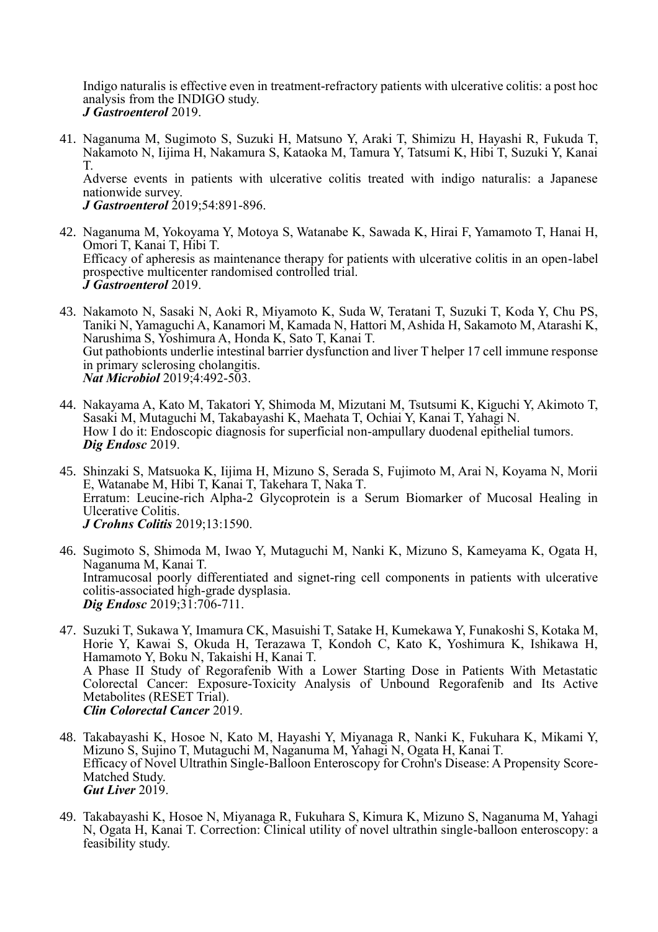Indigo naturalis is effective even in treatment-refractory patients with ulcerative colitis: a post hoc analysis from the INDIGO study. *J Gastroenterol* 2019.

41. Naganuma M, Sugimoto S, Suzuki H, Matsuno Y, Araki T, Shimizu H, Hayashi R, Fukuda T, Nakamoto N, Iijima H, Nakamura S, Kataoka M, Tamura Y, Tatsumi K, Hibi T, Suzuki Y, Kanai T.

Adverse events in patients with ulcerative colitis treated with indigo naturalis: a Japanese nationwide survey.

*J Gastroenterol* 2019;54:891-896.

- 42. Naganuma M, Yokoyama Y, Motoya S, Watanabe K, Sawada K, Hirai F, Yamamoto T, Hanai H, Omori T, Kanai T, Hibi T. Efficacy of apheresis as maintenance therapy for patients with ulcerative colitis in an open-label prospective multicenter randomised controlled trial. *J Gastroenterol* 2019.
- 43. Nakamoto N, Sasaki N, Aoki R, Miyamoto K, Suda W, Teratani T, Suzuki T, Koda Y, Chu PS, Taniki N, Yamaguchi A, Kanamori M, Kamada N, Hattori M, Ashida H, Sakamoto M, Atarashi K, Narushima S, Yoshimura A, Honda K, Sato T, Kanai T. Gut pathobionts underlie intestinal barrier dysfunction and liver T helper 17 cell immune response in primary sclerosing cholangitis. *Nat Microbiol* 2019;4:492-503.
- 44. Nakayama A, Kato M, Takatori Y, Shimoda M, Mizutani M, Tsutsumi K, Kiguchi Y, Akimoto T, Sasaki M, Mutaguchi M, Takabayashi K, Maehata T, Ochiai Y, Kanai T, Yahagi N. How I do it: Endoscopic diagnosis for superficial non-ampullary duodenal epithelial tumors. *Dig Endosc* 2019.
- 45. Shinzaki S, Matsuoka K, Iijima H, Mizuno S, Serada S, Fujimoto M, Arai N, Koyama N, Morii E, Watanabe M, Hibi T, Kanai T, Takehara T, Naka T. Erratum: Leucine-rich Alpha-2 Glycoprotein is a Serum Biomarker of Mucosal Healing in Ulcerative Colitis. *J Crohns Colitis* 2019;13:1590.
- 46. Sugimoto S, Shimoda M, Iwao Y, Mutaguchi M, Nanki K, Mizuno S, Kameyama K, Ogata H, Naganuma M, Kanai T. Intramucosal poorly differentiated and signet-ring cell components in patients with ulcerative colitis-associated high-grade dysplasia. *Dig Endosc* 2019;31:706-711.
- 47. Suzuki T, Sukawa Y, Imamura CK, Masuishi T, Satake H, Kumekawa Y, Funakoshi S, Kotaka M, Horie Y, Kawai S, Okuda H, Terazawa T, Kondoh C, Kato K, Yoshimura K, Ishikawa H, Hamamoto Y, Boku N, Takaishi H, Kanai T. A Phase II Study of Regorafenib With a Lower Starting Dose in Patients With Metastatic Colorectal Cancer: Exposure-Toxicity Analysis of Unbound Regorafenib and Its Active Metabolites (RESET Trial). *Clin Colorectal Cancer* 2019.
- 48. Takabayashi K, Hosoe N, Kato M, Hayashi Y, Miyanaga R, Nanki K, Fukuhara K, Mikami Y, Mizuno S, Sujino T, Mutaguchi M, Naganuma M, Yahagi N, Ogata H, Kanai T. Efficacy of Novel Ultrathin Single-Balloon Enteroscopy for Crohn's Disease: A Propensity Score-Matched Study. *Gut Liver* 2019.
- 49. Takabayashi K, Hosoe N, Miyanaga R, Fukuhara S, Kimura K, Mizuno S, Naganuma M, Yahagi N, Ogata H, Kanai T. Correction: Clinical utility of novel ultrathin single-balloon enteroscopy: a feasibility study.